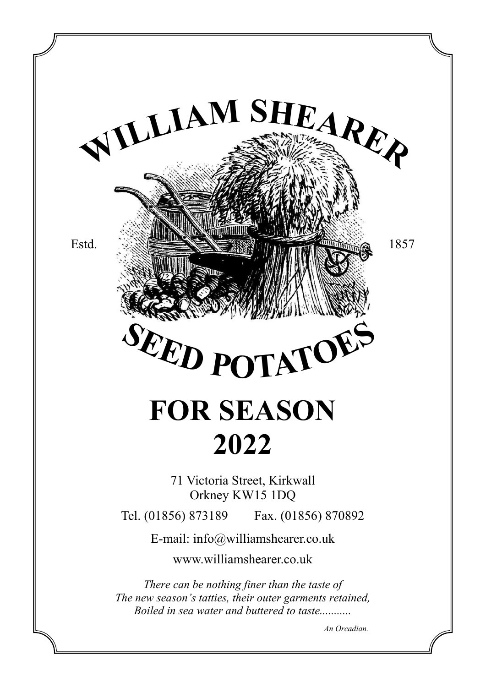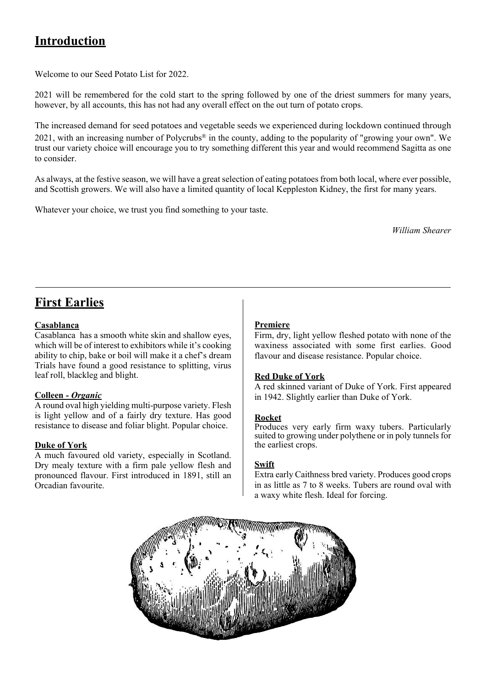## **Introduction**

Welcome to our Seed Potato List for 2022.

2021 will be remembered for the cold start to the spring followed by one of the driest summers for many years, however, by all accounts, this has not had any overall effect on the out turn of potato crops.

The increased demand for seed potatoes and vegetable seeds we experienced during lockdown continued through 2021, with an increasing number of Polycrubs® in the county, adding to the popularity of "growing your own". We trust our variety choice will encourage you to try something different this year and would recommend Sagitta as one to consider.

As always, at the festive season, we will have a great selection of eating potatoes from both local, where ever possible, and Scottish growers. We will also have a limited quantity of local Keppleston Kidney, the first for many years.

Whatever your choice, we trust you find something to your taste.

*William Shearer*

## **First Earlies**

#### **Casablanca**

Casablanca has a smooth white skin and shallow eyes, which will be of interest to exhibitors while it's cooking ability to chip, bake or boil will make it a chef's dream Trials have found a good resistance to splitting, virus leaf roll, blackleg and blight.

#### **Colleen** *- Organic*

A round oval high yielding multi-purpose variety. Flesh is light yellow and of a fairly dry texture. Has good resistance to disease and foliar blight. Popular choice.

#### **Duke of York**

A much favoured old variety, especially in Scotland. Dry mealy texture with a firm pale yellow flesh and pronounced flavour. First introduced in 1891, still an Orcadian favourite.

#### **Premiere**

Firm, dry, light yellow fleshed potato with none of the waxiness associated with some first earlies. Good flavour and disease resistance. Popular choice.

#### **Red Duke of York**

A red skinned variant of Duke of York. First appeared in 1942. Slightly earlier than Duke of York.

#### **Rocket**

Produces very early firm waxy tubers. Particularly suited to growing under polythene or in poly tunnels for the earliest crops.

#### **Swift**

Extra early Caithness bred variety. Produces good crops in as little as 7 to 8 weeks. Tubers are round oval with a waxy white flesh. Ideal for forcing.

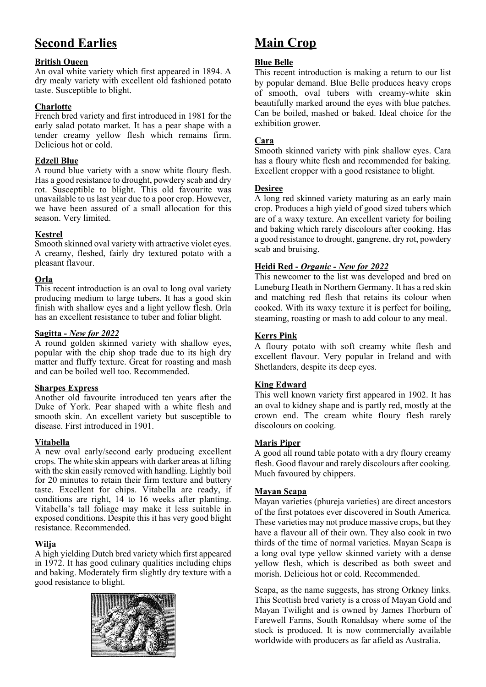## **Second Earlies**

#### **British Oueen**

An oval white variety which first appeared in 1894. A dry mealy variety with excellent old fashioned potato taste. Susceptible to blight.

#### **Charlotte**

French bred variety and first introduced in 1981 for the early salad potato market. It has a pear shape with a tender creamy yellow flesh which remains firm. Delicious hot or cold.

#### **Edzell Blue**

A round blue variety with a snow white floury flesh. Has a good resistance to drought, powdery scab and dry rot. Susceptible to blight. This old favourite was unavailable to us last year due to a poor crop. However, we have been assured of a small allocation for this season. Very limited.

#### **Kestrel**

Smooth skinned oval variety with attractive violet eyes. A creamy, fleshed, fairly dry textured potato with a pleasant flavour.

#### **Orla**

This recent introduction is an oval to long oval variety producing medium to large tubers. It has a good skin finish with shallow eyes and a light yellow flesh. Orla has an excellent resistance to tuber and foliar blight.

#### **Sagitta -** *New for 2022*

A round golden skinned variety with shallow eyes, popular with the chip shop trade due to its high dry matter and fluffy texture. Great for roasting and mash and can be boiled well too. Recommended.

#### **Sharpes Express**

Another old favourite introduced ten years after the Duke of York. Pear shaped with a white flesh and smooth skin. An excellent variety but susceptible to disease. First introduced in 1901.

#### **Vitabella**

A new oval early/second early producing excellent crops. The white skin appears with darker areas at lifting with the skin easily removed with handling. Lightly boil for 20 minutes to retain their firm texture and buttery taste. Excellent for chips. Vitabella are ready, if conditions are right, 14 to 16 weeks after planting. Vitabella's tall foliage may make it less suitable in exposed conditions. Despite this it has very good blight resistance. Recommended.

#### **Wilja**

A high yielding Dutch bred variety which first appeared in 1972. It has good culinary qualities including chips and baking. Moderately firm slightly dry texture with a good resistance to blight.



## **Main Crop**

#### **Blue Belle**

This recent introduction is making a return to our list by popular demand. Blue Belle produces heavy crops of smooth, oval tubers with creamy-white skin beautifully marked around the eyes with blue patches. Can be boiled, mashed or baked. Ideal choice for the exhibition grower.

#### **Cara**

Smooth skinned variety with pink shallow eyes. Cara has a floury white flesh and recommended for baking. Excellent cropper with a good resistance to blight.

#### **Desiree**

A long red skinned variety maturing as an early main crop. Produces a high yield of good sized tubers which are of a waxy texture. An excellent variety for boiling and baking which rarely discolours after cooking. Has a good resistance to drought, gangrene, dry rot, powdery scab and bruising.

#### **Heidi Red -** *Organic - New for 2022*

This newcomer to the list was developed and bred on Luneburg Heath in Northern Germany. It has a red skin and matching red flesh that retains its colour when cooked. With its waxy texture it is perfect for boiling, steaming, roasting or mash to add colour to any meal.

#### **Kerrs Pink**

A floury potato with soft creamy white flesh and excellent flavour. Very popular in Ireland and with Shetlanders, despite its deep eyes.

#### **King Edward**

This well known variety first appeared in 1902. It has an oval to kidney shape and is partly red, mostly at the crown end. The cream white floury flesh rarely discolours on cooking.

#### **Maris Piper**

A good all round table potato with a dry floury creamy flesh. Good flavour and rarely discolours after cooking. Much favoured by chippers.

#### **Mayan Scapa**

Mayan varieties (phureja varieties) are direct ancestors of the first potatoes ever discovered in South America. These varieties may not produce massive crops, but they have a flavour all of their own. They also cook in two thirds of the time of normal varieties. Mayan Scapa is a long oval type yellow skinned variety with a dense yellow flesh, which is described as both sweet and morish. Delicious hot or cold. Recommended.

Scapa, as the name suggests, has strong Orkney links. This Scottish bred variety is a cross of Mayan Gold and Mayan Twilight and is owned by James Thorburn of Farewell Farms, South Ronaldsay where some of the stock is produced. It is now commercially available worldwide with producers as far afield as Australia.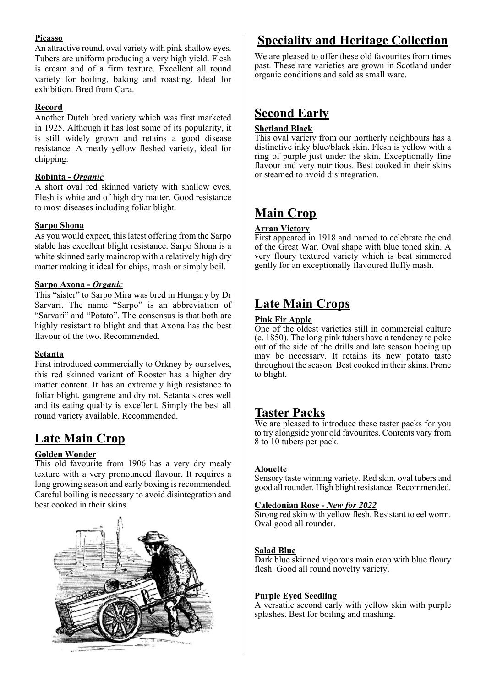#### **Picasso**

An attractive round, oval variety with pink shallow eyes. Tubers are uniform producing a very high yield. Flesh is cream and of a firm texture. Excellent all round variety for boiling, baking and roasting. Ideal for exhibition. Bred from Cara.

#### **Record**

Another Dutch bred variety which was first marketed in 1925. Although it has lost some of its popularity, it is still widely grown and retains a good disease resistance. A mealy yellow fleshed variety, ideal for chipping.

#### **Robinta** *- Organic*

A short oval red skinned variety with shallow eyes. Flesh is white and of high dry matter. Good resistance to most diseases including foliar blight.

#### **Sarpo Shona**

As you would expect, this latest offering from the Sarpo stable has excellent blight resistance. Sarpo Shona is a white skinned early maincrop with a relatively high dry matter making it ideal for chips, mash or simply boil.

#### **Sarpo Axona -** *Organic*

This "sister" to Sarpo Mira was bred in Hungary by Dr Sarvari. The name "Sarpo" is an abbreviation of "Sarvari" and "Potato". The consensus is that both are highly resistant to blight and that Axona has the best flavour of the two. Recommended.

#### **Setanta**

First introduced commercially to Orkney by ourselves, this red skinned variant of Rooster has a higher dry matter content. It has an extremely high resistance to foliar blight, gangrene and dry rot. Setanta stores well and its eating quality is excellent. Simply the best all round variety available. Recommended.

## **Late Main Crop**

#### **Golden Wonder**

This old favourite from 1906 has a very dry mealy texture with a very pronounced flavour. It requires a long growing season and early boxing is recommended. Careful boiling is necessary to avoid disintegration and best cooked in their skins.



## **Speciality and Heritage Collection**

We are pleased to offer these old favourites from times past. These rare varieties are grown in Scotland under organic conditions and sold as small ware.

## **Second Early**

#### **Shetland Black**

This oval variety from our northerly neighbours has a distinctive inky blue/black skin. Flesh is yellow with a ring of purple just under the skin. Exceptionally fine flavour and very nutritious. Best cooked in their skins or steamed to avoid disintegration.

## **Main Crop**

#### **Arran Victory**

First appeared in 1918 and named to celebrate the end of the Great War. Oval shape with blue toned skin. A very floury textured variety which is best simmered gently for an exceptionally flavoured fluffy mash.

## **Late Main Crops**

#### **Pink Fir Apple**

One of the oldest varieties still in commercial culture (c. 1850). The long pink tubers have a tendency to poke out of the side of the drills and late season hoeing up may be necessary. It retains its new potato taste throughout the season. Best cooked in their skins. Prone to blight.

#### **Taster Packs**

We are pleased to introduce these taster packs for you to try alongside your old favourites. Contents vary from 8 to 10 tubers per pack.

#### **Alouette**

Sensory taste winning variety. Red skin, oval tubers and good all rounder. High blight resistance. Recommended.

#### **Caledonian Rose -** *New for 2022*

Strong red skin with yellow flesh. Resistant to eel worm. Oval good all rounder.

#### **Salad Blue**

Dark blue skinned vigorous main crop with blue floury flesh. Good all round novelty variety.

#### **Purple Eyed Seedling**

A versatile second early with yellow skin with purple splashes. Best for boiling and mashing.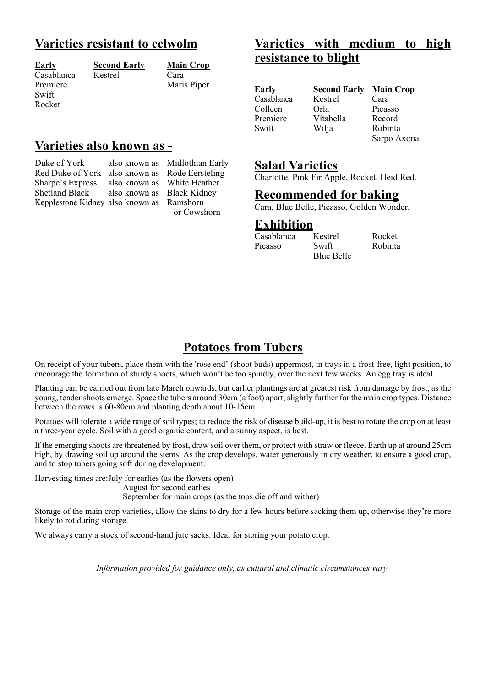## **Varieties resistant to eelwolm**

| <b>Early</b> |
|--------------|
| Casablanca   |
| Premiere     |
| Swift        |
| Rocket       |

a Kestrel

**Early Second Early Main Crop** Maris Piper

## **Varieties also known as -**

Duke of York also known as Midlothian Early Red Duke of York also known as Rode Eersteling Sharpe's Express also known as White Heather Kepplestone Kidney also known as Ramshorn

also known as Black Kidney or Cowshorn

## **Varieties with medium to high resistance to blight**

| <b>Early</b> | <b>Second Early Main Crop</b> |                             |
|--------------|-------------------------------|-----------------------------|
| Casablanca   | Kestrel                       | Cara                        |
| Colleen      | Orla                          | Picasso                     |
| Premiere     | Vitabella                     | Record                      |
| Swift        | Wilja                         | Robinta                     |
|              |                               | $C2$ $\cdots$ $A2$ $\cdots$ |

Sarpo Axona

### **Salad Varieties**

Charlotte, Pink Fir Apple, Rocket, Heid Red.

## **Recommended for baking**

Cara, Blue Belle, Picasso, Golden Wonder.

Blue Belle

## **Exhibition**<br>Casablanca Kestrel

Casablanca Kestrel Rocket<br>Picasso Swift Robinta Picasso

## **Potatoes from Tubers**

On receipt of your tubers, place them with the 'rose end' (shoot buds) uppermost, in trays in a frost-free, light position, to encourage the formation of sturdy shoots, which won't be too spindly, over the next few weeks. An egg tray is ideal.

Planting can be carried out from late March onwards, but earlier plantings are at greatest risk from damage by frost, as the young, tender shoots emerge. Space the tubers around 30cm (a foot) apart, slightly further for the main crop types. Distance between the rows is 60-80cm and planting depth about 10-15cm.

Potatoes will tolerate a wide range of soil types; to reduce the risk of disease build-up, it is best to rotate the crop on at least a three-year cycle. Soil with a good organic content, and a sunny aspect, is best.

If the emerging shoots are threatened by frost, draw soil over them, or protect with straw or fleece. Earth up at around 25cm high, by drawing soil up around the stems. As the crop develops, water generously in dry weather, to ensure a good crop, and to stop tubers going soft during development.

Harvesting times are: July for earlies (as the flowers open)

August for second earlies

September for main crops (as the tops die off and wither)

Storage of the main crop varieties, allow the skins to dry for a few hours before sacking them up, otherwise they're more likely to rot during storage.

We always carry a stock of second-hand jute sacks. Ideal for storing your potato crop.

*Information provided for guidance only, as cultural and climatic circumstances vary.*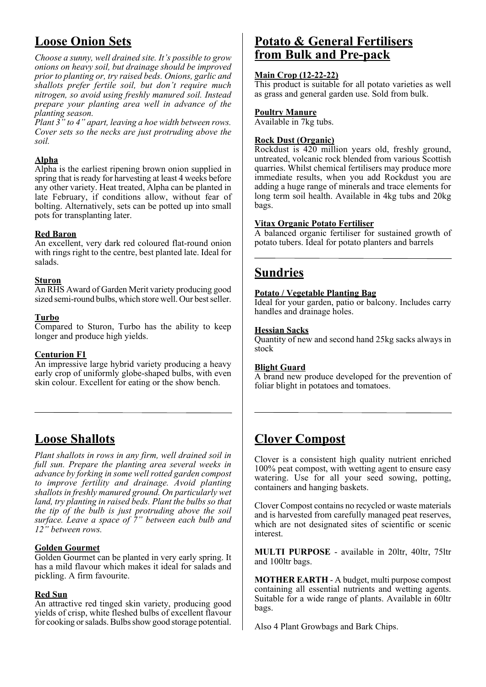## **Loose Onion Sets**

*Choose a sunny, well drained site. It's possible to grow onions on heavy soil, but drainage should be improved prior to planting or, try raised beds. Onions, garlic and shallots prefer fertile soil, but don't require much nitrogen, so avoid using freshly manured soil. Instead prepare your planting area well in advance of the planting season.*

*Plant 3" to 4" apart, leaving a hoe width between rows. Cover sets so the necks are just protruding above the soil.*

#### **Alpha**

Alpha is the earliest ripening brown onion supplied in spring that is ready for harvesting at least 4 weeks before any other variety. Heat treated, Alpha can be planted in late February, if conditions allow, without fear of bolting. Alternatively, sets can be potted up into small pots for transplanting later.

#### **Red Baron**

An excellent, very dark red coloured flat-round onion with rings right to the centre, best planted late. Ideal for salads.

#### **Sturon**

An RHS Award of Garden Merit variety producing good sized semi-round bulbs, which store well. Our best seller.

#### **Turbo**

Compared to Sturon, Turbo has the ability to keep longer and produce high yields.

#### **Centurion F1**

An impressive large hybrid variety producing a heavy early crop of uniformly globe-shaped bulbs, with even skin colour. Excellent for eating or the show bench.

## **Loose Shallots**

*Plant shallots in rows in any firm, well drained soil in full sun. Prepare the planting area several weeks in advance by forking in some well rotted garden compost to improve fertility and drainage. Avoid planting shallots in freshly manured ground. On particularly wet land, try planting in raised beds. Plant the bulbs so that the tip of the bulb is just protruding above the soil surface. Leave a space of 7" between each bulb and 12" between rows.*

#### **Golden Gourmet**

Golden Gourmet can be planted in very early spring. It has a mild flavour which makes it ideal for salads and pickling. A firm favourite.

#### **Red Sun**

An attractive red tinged skin variety, producing good yields of crisp, white fleshed bulbs of excellent flavour for cooking or salads. Bulbs show good storage potential.

## **Potato & General Fertilisers from Bulk and Pre-pack**

#### **Main Crop (12-22-22)**

This product is suitable for all potato varieties as well as grass and general garden use. Sold from bulk.

#### **Poultry Manure**

Available in 7kg tubs.

#### **Rock Dust (Organic)**

Rockdust is 420 million years old, freshly ground, untreated, volcanic rock blended from various Scottish quarries. Whilst chemical fertilisers may produce more immediate results, when you add Rockdust you are adding a huge range of minerals and trace elements for long term soil health. Available in 4kg tubs and 20kg bags.

#### **Vitax Organic Potato Fertiliser**

A balanced organic fertiliser for sustained growth of potato tubers. Ideal for potato planters and barrels

## **Sundries**

#### **Potato / Vegetable Planting Bag**

Ideal for your garden, patio or balcony. Includes carry handles and drainage holes.

#### **Hessian Sacks**

Quantity of new and second hand 25kg sacks always in stock

#### **Blight Guard**

A brand new produce developed for the prevention of foliar blight in potatoes and tomatoes.

## **Clover Compost**

Clover is a consistent high quality nutrient enriched 100% peat compost, with wetting agent to ensure easy watering. Use for all your seed sowing, potting, containers and hanging baskets.

Clover Compost contains no recycled or waste materials and is harvested from carefully managed peat reserves, which are not designated sites of scientific or scenic interest.

**MULTI PURPOSE** - available in 20ltr, 40ltr, 75ltr and 100ltr bags.

**MOTHER EARTH** - A budget, multi purpose compost containing all essential nutrients and wetting agents. Suitable for a wide range of plants. Available in 60ltr bags.

Also 4 Plant Growbags and Bark Chips.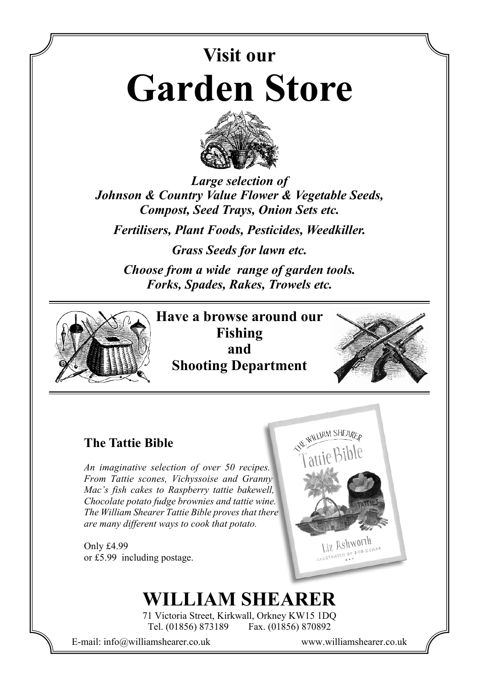# **Visit our Garden Store**



*Large selection of Johnson & Country Value Flower & Vegetable Seeds, Compost, Seed Trays, Onion Sets etc.*

*Fertilisers, Plant Foods, Pesticides, Weedkiller.*

*Grass Seeds for lawn etc.*

*Choose from a wide range of garden tools. Forks, Spades, Rakes, Trowels etc.*



**Have a browse around our Fishing and Shooting Department**



## **The Tattie Bible**

*An imaginative selection of over 50 recipes. From Tattie scones, Vichyssoise and Granny Mac's fish cakes to Raspberry tattie bakewell, Chocolate potato fudge brownies and tattie wine. The William Shearer Tattie Bible proves that there are many different ways to cook that potato.*

Only £4.99 or £5.99 including postage.

# **WILLIAM SHEARER**

71 Victoria Street, Kirkwall, Orkney KW15 1DQ Tel. (01856) 873189 Fax. (01856) 870892

E-mail: info@williamshearer.co.uk www.williamshearer.co.uk

Liz Ashworth **IT HSHMOLIT** 

WE WILLIAM SHEARED